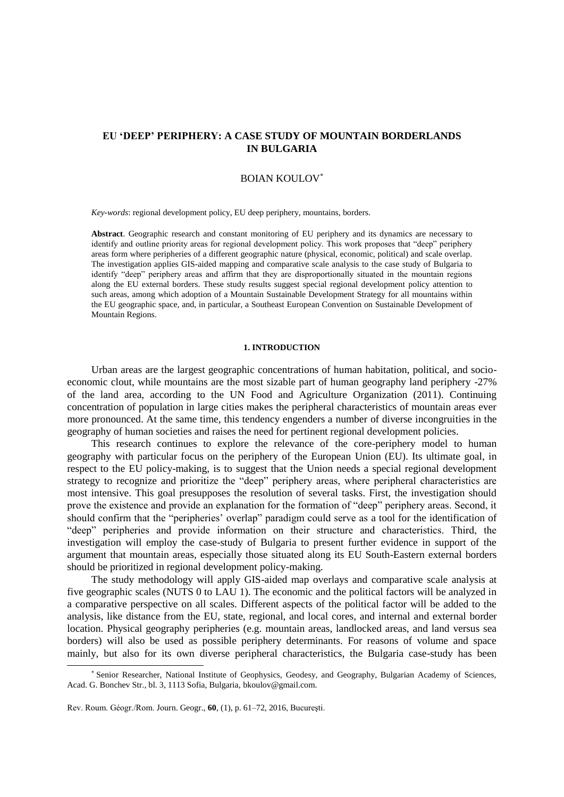# **EU 'DEEP' PERIPHERY: A CASE STUDY OF MOUNTAIN BORDERLANDS IN BULGARIA**

# BOIAN KOULOV

*Key-words*: regional development policy, EU deep periphery, mountains, borders.

**Abstract**. Geographic research and constant monitoring of EU periphery and its dynamics are necessary to identify and outline priority areas for regional development policy. This work proposes that "deep" periphery areas form where peripheries of a different geographic nature (physical, economic, political) and scale overlap. The investigation applies GIS-aided mapping and comparative scale analysis to the case study of Bulgaria to identify "deep" periphery areas and affirm that they are disproportionally situated in the mountain regions along the EU external borders. These study results suggest special regional development policy attention to such areas, among which adoption of a Mountain Sustainable Development Strategy for all mountains within the EU geographic space, and, in particular, a Southeast European Convention on Sustainable Development of Mountain Regions.

# **1. INTRODUCTION**

Urban areas are the largest geographic concentrations of human habitation, political, and socioeconomic clout, while mountains are the most sizable part of human geography land periphery -27% of the land area, according to the UN Food and Agriculture Organization (2011). Continuing concentration of population in large cities makes the peripheral characteristics of mountain areas ever more pronounced. At the same time, this tendency engenders a number of diverse incongruities in the geography of human societies and raises the need for pertinent regional development policies.

This research continues to explore the relevance of the core-periphery model to human geography with particular focus on the periphery of the European Union (EU). Its ultimate goal, in respect to the EU policy-making, is to suggest that the Union needs a special regional development strategy to recognize and prioritize the "deep" periphery areas, where peripheral characteristics are most intensive. This goal presupposes the resolution of several tasks. First, the investigation should prove the existence and provide an explanation for the formation of "deep" periphery areas. Second, it should confirm that the "peripheries' overlap" paradigm could serve as a tool for the identification of "deep" peripheries and provide information on their structure and characteristics. Third, the investigation will employ the case-study of Bulgaria to present further evidence in support of the argument that mountain areas, especially those situated along its EU South-Eastern external borders should be prioritized in regional development policy-making.

The study methodology will apply GIS-aided map overlays and comparative scale analysis at five geographic scales (NUTS 0 to LAU 1). The economic and the political factors will be analyzed in a comparative perspective on all scales. Different aspects of the political factor will be added to the analysis, like distance from the EU, state, regional, and local cores, and internal and external border location. Physical geography peripheries (e.g. mountain areas, landlocked areas, and land versus sea borders) will also be used as possible periphery determinants. For reasons of volume and space mainly, but also for its own diverse peripheral characteristics, the Bulgaria case-study has been

 $\overline{a}$ 

Senior Researcher, National Institute of Geophysics, Geodesy, and Geography, Bulgarian Academy of Sciences, Acad. G. Bonchev Str., bl. 3, 1113 Sofia, Bulgaria[, bkoulov@gmail.com.](mailto:bkoulov@gmail.com)

Rev. Roum. Géogr./Rom. Journ. Geogr., **60**, (1), p. 61–72, 2016, Bucureşti.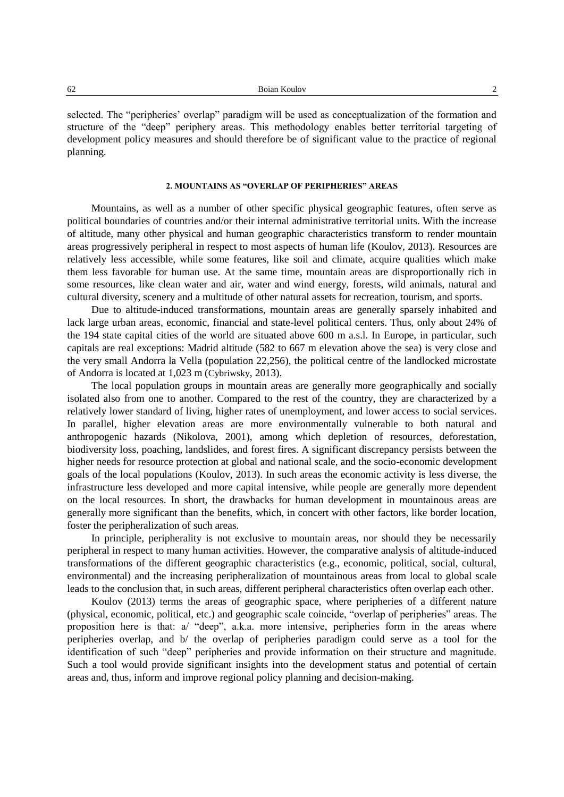selected. The "peripheries' overlap" paradigm will be used as conceptualization of the formation and structure of the "deep" periphery areas. This methodology enables better territorial targeting of development policy measures and should therefore be of significant value to the practice of regional planning.

### **2. MOUNTAINS AS "OVERLAP OF PERIPHERIES" AREAS**

Mountains, as well as a number of other specific physical geographic features, often serve as political boundaries of countries and/or their internal administrative territorial units. With the increase of altitude, many other physical and human geographic characteristics transform to render mountain areas progressively peripheral in respect to most aspects of human life (Koulov, 2013). Resources are relatively less accessible, while some features, like soil and climate, acquire qualities which make them less favorable for human use. At the same time, mountain areas are disproportionally rich in some resources, like clean water and air, water and wind energy, forests, wild animals, natural and cultural diversity, scenery and a multitude of other natural assets for recreation, tourism, and sports.

Due to altitude-induced transformations, mountain areas are generally sparsely inhabited and lack large urban areas, economic, financial and state-level political centers. Thus, only about 24% of the 194 state capital cities of the world are situated above 600 m a.s.l. In Europe, in particular, such capitals are real exceptions: Madrid altitude (582 to 667 m elevation above the sea) is very close and the very small Andorra la Vella (population 22,256), the political centre of the landlocked microstate of Andorra is located at 1,023 m (Cybriwsky, 2013).

The local population groups in mountain areas are generally more geographically and socially isolated also from one to another. Compared to the rest of the country, they are characterized by a relatively lower standard of living, higher rates of unemployment, and lower access to social services. In parallel, higher elevation areas are more environmentally vulnerable to both natural and anthropogenic hazards (Nikolova, 2001), among which depletion of resources, deforestation, biodiversity loss, poaching, landslides, and forest fires. A significant discrepancy persists between the higher needs for resource protection at global and national scale, and the socio-economic development goals of the local populations (Koulov, 2013). In such areas the economic activity is less diverse, the infrastructure less developed and more capital intensive, while people are generally more dependent on the local resources. In short, the drawbacks for human development in mountainous areas are generally more significant than the benefits, which, in concert with other factors, like border location, foster the peripheralization of such areas.

In principle, peripherality is not exclusive to mountain areas, nor should they be necessarily peripheral in respect to many human activities. However, the comparative analysis of altitude-induced transformations of the different geographic characteristics (e.g., economic, political, social, cultural, environmental) and the increasing peripheralization of mountainous areas from local to global scale leads to the conclusion that, in such areas, different peripheral characteristics often overlap each other.

Koulov (2013) terms the areas of geographic space, where peripheries of a different nature (physical, economic, political, etc.) and geographic scale coincide, "overlap of peripheries" areas. The proposition here is that: a/ "deep", a.k.a. more intensive, peripheries form in the areas where peripheries overlap, and b/ the overlap of peripheries paradigm could serve as a tool for the identification of such "deep" peripheries and provide information on their structure and magnitude. Such a tool would provide significant insights into the development status and potential of certain areas and, thus, inform and improve regional policy planning and decision-making.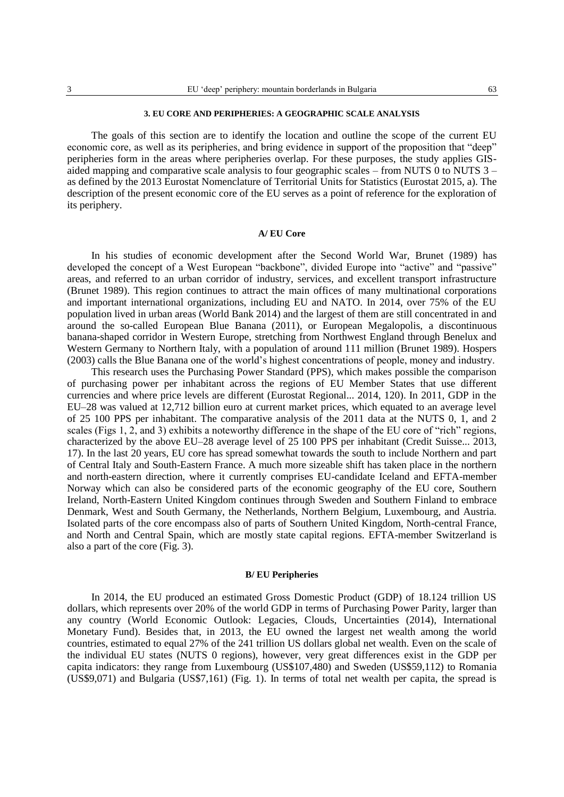### **3. EU CORE AND PERIPHERIES: A GEOGRAPHIC SCALE ANALYSIS**

The goals of this section are to identify the location and outline the scope of the current EU economic core, as well as its peripheries, and bring evidence in support of the proposition that "deep" peripheries form in the areas where peripheries overlap. For these purposes, the study applies GISaided mapping and comparative scale analysis to four geographic scales – from NUTS  $0$  to NUTS  $3$  – as defined by the 2013 Eurostat Nomenclature of Territorial Units for Statistics (Eurostat 2015, a). The description of the present economic core of the EU serves as a point of reference for the exploration of its periphery.

# **A/ EU Core**

In his studies of economic development after the Second World War, Brunet (1989) has developed the concept of a West European "backbone", divided Europe into "active" and "passive" areas, and referred to an urban corridor of industry, services, and excellent transport infrastructure (Brunet 1989). This region continues to attract the main offices of many multinational corporations and important international organizations, including EU and NATO. In 2014, over 75% of the EU population lived in urban areas (World Bank 2014) and the largest of them are still concentrated in and around the so-called European Blue Banana (2011), or European Megalopolis, a discontinuous banana-shaped corridor in Western Europe, stretching from Northwest England through Benelux and Western Germany to Northern Italy, with a population of around 111 million (Brunet 1989). Hospers (2003) calls the Blue Banana one of the world's highest concentrations of people, money and industry.

This research uses the Purchasing Power Standard (PPS), which makes possible the comparison of purchasing power per inhabitant across the regions of EU Member States that use different currencies and where price levels are different (Eurostat Regional... 2014, 120). In 2011, GDP in the EU–28 was valued at 12,712 billion euro at current market prices, which equated to an average level of 25 100 PPS per inhabitant. The comparative analysis of the 2011 data at the NUTS 0, 1, and 2 scales (Figs 1, 2, and 3) exhibits a noteworthy difference in the shape of the EU core of "rich" regions, characterized by the above EU–28 average level of 25 100 PPS per inhabitant (Credit Suisse... 2013, 17). In the last 20 years, EU core has spread somewhat towards the south to include Northern and part of Central Italy and South-Eastern France. A much more sizeable shift has taken place in the northern and north-eastern direction, where it currently comprises EU-candidate Iceland and EFTA-member Norway which can also be considered parts of the economic geography of the EU core, Southern Ireland, North-Eastern United Kingdom continues through Sweden and Southern Finland to embrace Denmark, West and South Germany, the Netherlands, Northern Belgium, Luxembourg, and Austria. Isolated parts of the core encompass also of parts of Southern United Kingdom, North-central France, and North and Central Spain, which are mostly state capital regions. EFTA-member Switzerland is also a part of the core (Fig. 3).

# **B/ EU Peripheries**

In 2014, the EU produced an estimated Gross Domestic Product (GDP) of 18.124 trillion US dollars, which represents over 20% of the world GDP in terms of Purchasing Power Parity, larger than any country (World Economic Outlook: Legacies, Clouds, Uncertainties (2014), International Monetary Fund). Besides that, in 2013, the EU owned the largest net wealth among the world countries, estimated to equal 27% of the 241 trillion US dollars global net wealth. Even on the scale of the individual EU states (NUTS 0 regions), however, very great differences exist in the GDP per capita indicators: they range from Luxembourg (US\$107,480) and Sweden (US\$59,112) to Romania (US\$9,071) and Bulgaria (US\$7,161) (Fig. 1). In terms of total net wealth per capita, the spread is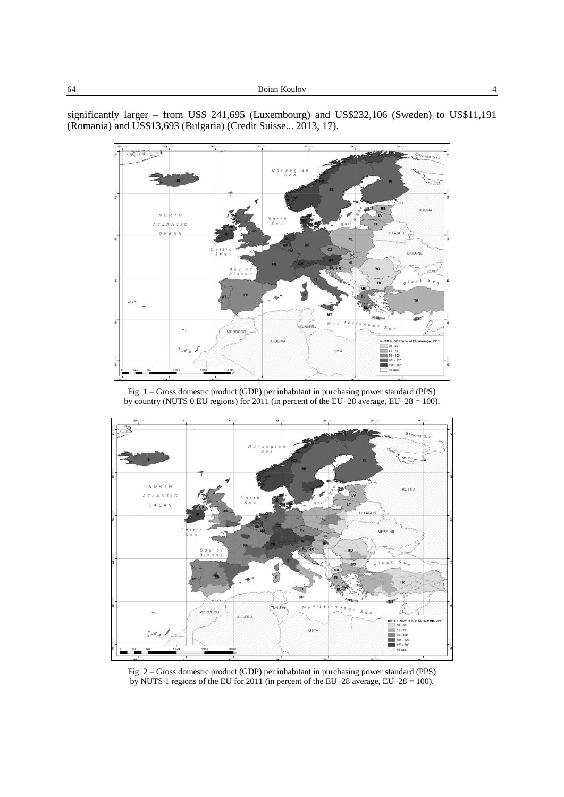significantly larger – from US\$ 241,695 (Luxembourg) and US\$232,106 (Sweden) to US\$11,191 (Romania) and US\$13,693 (Bulgaria) (Credit Suisse... 2013, 17).







Fig. 2 – Gross domestic product (GDP) per inhabitant in purchasing power standard (PPS) by NUTS 1 regions of the EU for 2011 (in percent of the EU–28 average, EU–28 = 100).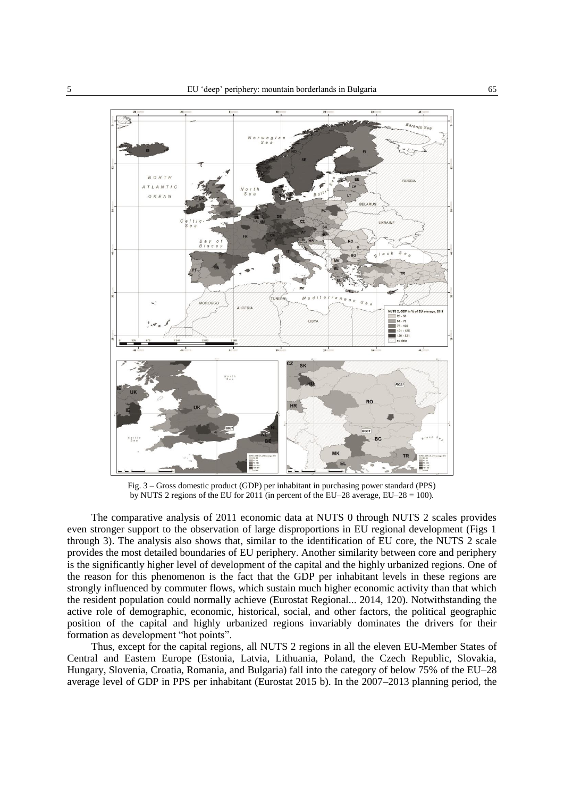

Fig. 3 – Gross domestic product (GDP) per inhabitant in purchasing power standard (PPS) by NUTS 2 regions of the EU for 2011 (in percent of the EU–28 average, EU–28 = 100).

The comparative analysis of 2011 economic data at NUTS 0 through NUTS 2 scales provides even stronger support to the observation of large disproportions in EU regional development (Figs 1 through 3). The analysis also shows that, similar to the identification of EU core, the NUTS 2 scale provides the most detailed boundaries of EU periphery. Another similarity between core and periphery is the significantly higher level of development of the capital and the highly urbanized regions. One of the reason for this phenomenon is the fact that the GDP per inhabitant levels in these regions are strongly influenced by commuter flows, which sustain much higher economic activity than that which the resident population could normally achieve (Eurostat Regional... 2014, 120). Notwithstanding the active role of demographic, economic, historical, social, and other factors, the political geographic position of the capital and highly urbanized regions invariably dominates the drivers for their formation as development "hot points".

Thus, except for the capital regions, all NUTS 2 regions in all the eleven EU-Member States of Central and Eastern Europe (Estonia, Latvia, Lithuania, Poland, the Czech Republic, Slovakia, Hungary, Slovenia, Croatia, Romania, and Bulgaria) fall into the category of below 75% of the EU–28 average level of GDP in PPS per inhabitant (Eurostat 2015 b). In the 2007–2013 planning period, the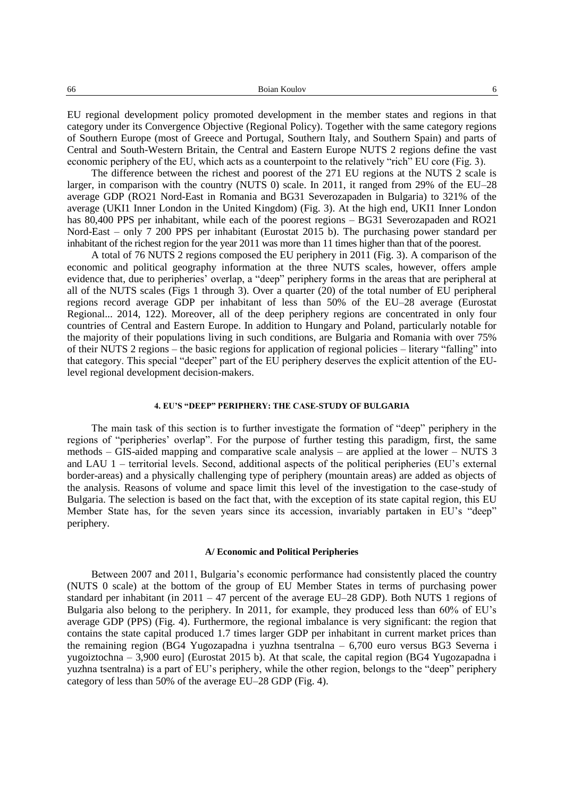EU regional development policy promoted development in the member states and regions in that category under its Convergence Objective (Regional Policy). Together with the same category regions of Southern Europe (most of Greece and Portugal, Southern Italy, and Southern Spain) and parts of Central and South-Western Britain, the Central and Eastern Europe NUTS 2 regions define the vast economic periphery of the EU, which acts as a counterpoint to the relatively "rich" EU core (Fig. 3).

The difference between the richest and poorest of the 271 EU regions at the NUTS 2 scale is larger, in comparison with the country (NUTS 0) scale. In 2011, it ranged from 29% of the EU–28 average GDP (RO21 Nord-East in Romania and BG31 Severozapaden in Bulgaria) to 321% of the average (UKI1 Inner London in the United Kingdom) (Fig. 3). At the high end, UKI1 Inner London has 80,400 PPS per inhabitant, while each of the poorest regions – BG31 Severozapaden and RO21 Nord-East – only 7 200 PPS per inhabitant (Eurostat 2015 b). The purchasing power standard per inhabitant of the richest region for the year 2011 was more than 11 times higher than that of the poorest.

A total of 76 NUTS 2 regions composed the EU periphery in 2011 (Fig. 3). A comparison of the economic and political geography information at the three NUTS scales, however, offers ample evidence that, due to peripheries' overlap, a "deep" periphery forms in the areas that are peripheral at all of the NUTS scales (Figs 1 through 3). Over a quarter (20) of the total number of EU peripheral regions record average GDP per inhabitant of less than 50% of the EU–28 average (Eurostat Regional... 2014, 122). Moreover, all of the deep periphery regions are concentrated in only four countries of Central and Eastern Europe. In addition to Hungary and Poland, particularly notable for the majority of their populations living in such conditions, are Bulgaria and Romania with over 75% of their NUTS 2 regions – the basic regions for application of regional policies – literary "falling" into that category. This special "deeper" part of the EU periphery deserves the explicit attention of the EUlevel regional development decision-makers.

# **4. EU'S "DEEP" PERIPHERY: THE CASE-STUDY OF BULGARIA**

The main task of this section is to further investigate the formation of "deep" periphery in the regions of "peripheries' overlap". For the purpose of further testing this paradigm, first, the same methods – GIS-aided mapping and comparative scale analysis – are applied at the lower – NUTS 3 and LAU 1 – territorial levels. Second, additional aspects of the political peripheries (EU's external border-areas) and a physically challenging type of periphery (mountain areas) are added as objects of the analysis. Reasons of volume and space limit this level of the investigation to the case-study of Bulgaria. The selection is based on the fact that, with the exception of its state capital region, this EU Member State has, for the seven years since its accession, invariably partaken in EU's "deep" periphery.

### **A/ Economic and Political Peripheries**

Between 2007 and 2011, Bulgaria's economic performance had consistently placed the country (NUTS 0 scale) at the bottom of the group of EU Member States in terms of purchasing power standard per inhabitant (in 2011 – 47 percent of the average EU–28 GDP). Both NUTS 1 regions of Bulgaria also belong to the periphery. In 2011, for example, they produced less than 60% of EU's average GDP (PPS) (Fig. 4). Furthermore, the regional imbalance is very significant: the region that contains the state capital produced 1.7 times larger GDP per inhabitant in current market prices than the remaining region (BG4 Yugozapadna i yuzhna tsentralna – 6,700 euro versus BG3 Severna i yugoiztochna – 3,900 euro] (Eurostat 2015 b). At that scale, the capital region (BG4 Yugozapadna i yuzhna tsentralna) is a part of EU's periphery, while the other region, belongs to the "deep" periphery category of less than 50% of the average EU–28 GDP (Fig. 4).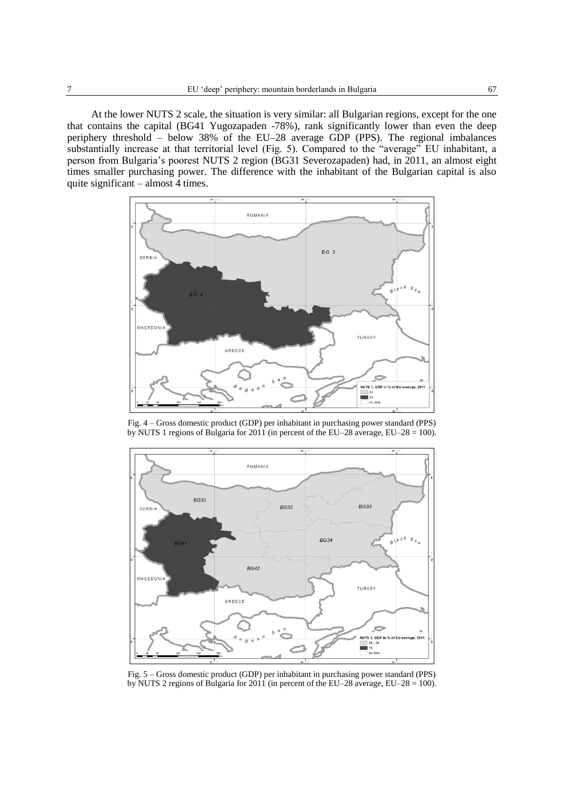At the lower NUTS 2 scale, the situation is very similar: all Bulgarian regions, except for the one that contains the capital (BG41 Yugozapaden -78%), rank significantly lower than even the deep periphery threshold – below 38% of the EU–28 average GDP (PPS). The regional imbalances substantially increase at that territorial level (Fig. 5). Compared to the "average" EU inhabitant, a person from Bulgaria's poorest NUTS 2 region (BG31 Severozapaden) had, in 2011, an almost eight times smaller purchasing power. The difference with the inhabitant of the Bulgarian capital is also quite significant – almost 4 times.



Fig. 4 – Gross domestic product (GDP) per inhabitant in purchasing power standard (PPS) by NUTS 1 regions of Bulgaria for 2011 (in percent of the EU–28 average, EU–28 = 100).



Fig. 5 – Gross domestic product (GDP) per inhabitant in purchasing power standard (PPS) by NUTS 2 regions of Bulgaria for 2011 (in percent of the EU–28 average, EU–28 = 100).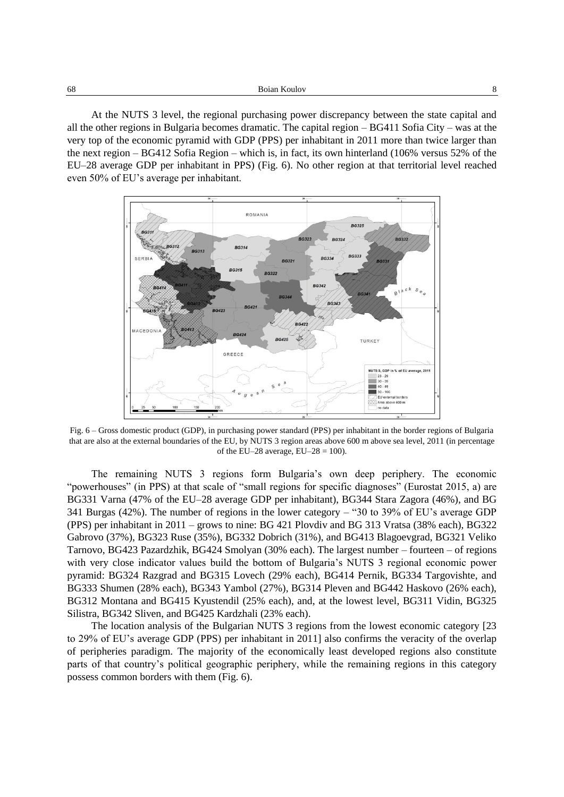At the NUTS 3 level, the regional purchasing power discrepancy between the state capital and all the other regions in Bulgaria becomes dramatic. The capital region – BG411 Sofia City – was at the very top of the economic pyramid with GDP (PPS) per inhabitant in 2011 more than twice larger than the next region – BG412 Sofia Region – which is, in fact, its own hinterland (106% versus 52% of the EU–28 average GDP per inhabitant in PPS) (Fig. 6). No other region at that territorial level reached even 50% of EU's average per inhabitant.



Fig. 6 – Gross domestic product (GDP), in purchasing power standard (PPS) per inhabitant in the border regions of Bulgaria that are also at the external boundaries of the EU, by NUTS 3 region areas above 600 m above sea level, 2011 (in percentage of the EU–28 average,  $EU-28 = 100$ ).

The remaining NUTS 3 regions form Bulgaria's own deep periphery. The economic "powerhouses" (in PPS) at that scale of "small regions for specific diagnoses" (Eurostat 2015, a) are BG331 Varna (47% of the EU–28 average GDP per inhabitant), BG344 Stara Zagora (46%), and BG 341 Burgas (42%). The number of regions in the lower category – "30 to 39% of EU's average GDP (PPS) per inhabitant in 2011 – grows to nine: BG 421 Plovdiv and BG 313 Vratsa (38% each), BG322 Gabrovo (37%), BG323 Ruse (35%), BG332 Dobrich (31%), and BG413 Blagoevgrad, BG321 Veliko Tarnovo, BG423 Pazardzhik, BG424 Smolyan (30% each). The largest number – fourteen – of regions with very close indicator values build the bottom of Bulgaria's NUTS 3 regional economic power pyramid: BG324 Razgrad and BG315 Lovech (29% each), BG414 Pernik, BG334 Targovishte, and BG333 Shumen (28% each), BG343 Yambol (27%), BG314 Pleven and BG442 Haskovo (26% each), BG312 Montana and BG415 Kyustendil (25% each), and, at the lowest level, BG311 Vidin, BG325 Silistra, BG342 Sliven, and BG425 Kardzhali (23% each).

The location analysis of the Bulgarian NUTS 3 regions from the lowest economic category [23 to 29% of EU's average GDP (PPS) per inhabitant in 2011] also confirms the veracity of the overlap of peripheries paradigm. The majority of the economically least developed regions also constitute parts of that country's political geographic periphery, while the remaining regions in this category possess common borders with them (Fig. 6).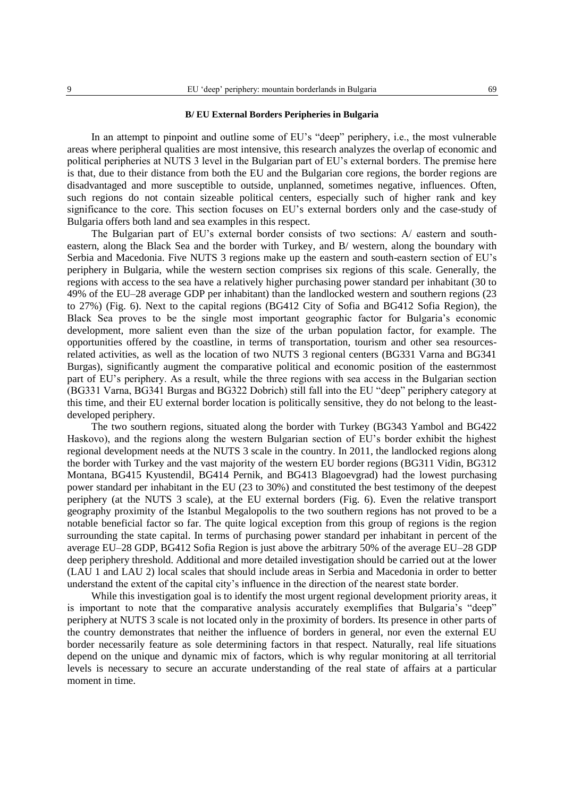# **B/ EU External Borders Peripheries in Bulgaria**

In an attempt to pinpoint and outline some of EU's "deep" periphery, i.e., the most vulnerable areas where peripheral qualities are most intensive, this research analyzes the overlap of economic and political peripheries at NUTS 3 level in the Bulgarian part of EU's external borders. The premise here is that, due to their distance from both the EU and the Bulgarian core regions, the border regions are disadvantaged and more susceptible to outside, unplanned, sometimes negative, influences. Often, such regions do not contain sizeable political centers, especially such of higher rank and key significance to the core. This section focuses on EU's external borders only and the case-study of Bulgaria offers both land and sea examples in this respect.

The Bulgarian part of EU's external border consists of two sections: A/ eastern and southeastern, along the Black Sea and the border with Turkey, and B/ western, along the boundary with Serbia and Macedonia. Five NUTS 3 regions make up the eastern and south-eastern section of EU's periphery in Bulgaria, while the western section comprises six regions of this scale. Generally, the regions with access to the sea have a relatively higher purchasing power standard per inhabitant (30 to 49% of the EU–28 average GDP per inhabitant) than the landlocked western and southern regions (23 to 27%) (Fig. 6). Next to the capital regions (BG412 City of Sofia and BG412 Sofia Region), the Black Sea proves to be the single most important geographic factor for Bulgaria's economic development, more salient even than the size of the urban population factor, for example. The opportunities offered by the coastline, in terms of transportation, tourism and other sea resourcesrelated activities, as well as the location of two NUTS 3 regional centers (BG331 Varna and BG341 Burgas), significantly augment the comparative political and economic position of the easternmost part of EU's periphery. As a result, while the three regions with sea access in the Bulgarian section (BG331 Varna, BG341 Burgas and BG322 Dobrich) still fall into the EU "deep" periphery category at this time, and their EU external border location is politically sensitive, they do not belong to the leastdeveloped periphery.

The two southern regions, situated along the border with Turkey (BG343 Yambol and BG422 Haskovo), and the regions along the western Bulgarian section of EU's border exhibit the highest regional development needs at the NUTS 3 scale in the country. In 2011, the landlocked regions along the border with Turkey and the vast majority of the western EU border regions (BG311 Vidin, BG312 Montana, BG415 Kyustendil, BG414 Pernik, and BG413 Blagoevgrad) had the lowest purchasing power standard per inhabitant in the EU (23 to 30%) and constituted the best testimony of the deepest periphery (at the NUTS 3 scale), at the EU external borders (Fig. 6). Even the relative transport geography proximity of the Istanbul Megalopolis to the two southern regions has not proved to be a notable beneficial factor so far. The quite logical exception from this group of regions is the region surrounding the state capital. In terms of purchasing power standard per inhabitant in percent of the average EU–28 GDP, BG412 Sofia Region is just above the arbitrary 50% of the average EU–28 GDP deep periphery threshold. Additional and more detailed investigation should be carried out at the lower (LAU 1 and LAU 2) local scales that should include areas in Serbia and Macedonia in order to better understand the extent of the capital city's influence in the direction of the nearest state border.

While this investigation goal is to identify the most urgent regional development priority areas, it is important to note that the comparative analysis accurately exemplifies that Bulgaria's "deep" periphery at NUTS 3 scale is not located only in the proximity of borders. Its presence in other parts of the country demonstrates that neither the influence of borders in general, nor even the external EU border necessarily feature as sole determining factors in that respect. Naturally, real life situations depend on the unique and dynamic mix of factors, which is why regular monitoring at all territorial levels is necessary to secure an accurate understanding of the real state of affairs at a particular moment in time.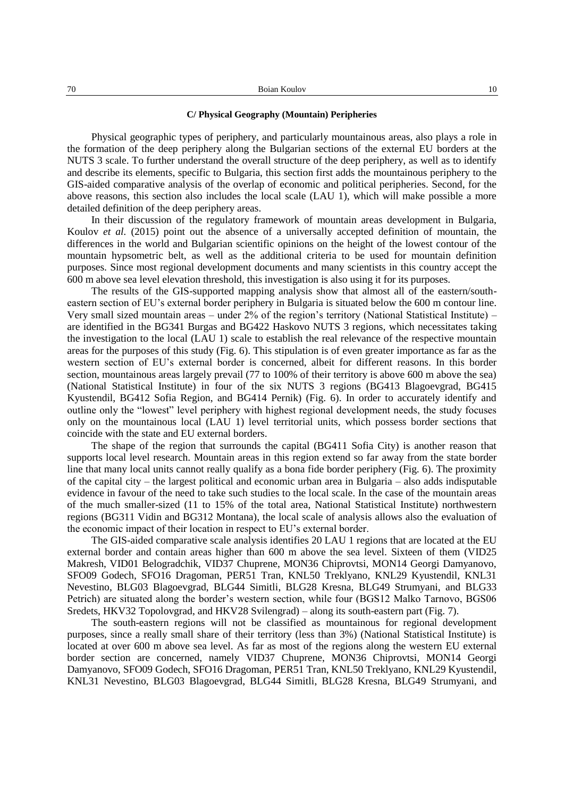# **C/ Physical Geography (Mountain) Peripheries**

Physical geographic types of periphery, and particularly mountainous areas, also plays a role in the formation of the deep periphery along the Bulgarian sections of the external EU borders at the NUTS 3 scale. To further understand the overall structure of the deep periphery, as well as to identify and describe its elements, specific to Bulgaria, this section first adds the mountainous periphery to the GIS-aided comparative analysis of the overlap of economic and political peripheries. Second, for the above reasons, this section also includes the local scale (LAU 1), which will make possible a more detailed definition of the deep periphery areas.

In their discussion of the regulatory framework of mountain areas development in Bulgaria, Koulov *et al.* (2015) point out the absence of a universally accepted definition of mountain, the differences in the world and Bulgarian scientific opinions on the height of the lowest contour of the mountain hypsometric belt, as well as the additional criteria to be used for mountain definition purposes. Since most regional development documents and many scientists in this country accept the 600 m above sea level elevation threshold, this investigation is also using it for its purposes.

The results of the GIS-supported mapping analysis show that almost all of the eastern/southeastern section of EU's external border periphery in Bulgaria is situated below the 600 m contour line. Very small sized mountain areas – under 2% of the region's territory (National Statistical Institute) – are identified in the BG341 Burgas and BG422 Haskovo NUTS 3 regions, which necessitates taking the investigation to the local (LAU 1) scale to establish the real relevance of the respective mountain areas for the purposes of this study (Fig. 6). This stipulation is of even greater importance as far as the western section of EU's external border is concerned, albeit for different reasons. In this border section, mountainous areas largely prevail (77 to 100% of their territory is above 600 m above the sea) (National Statistical Institute) in four of the six NUTS 3 regions (BG413 Blagoevgrad, BG415 Kyustendil, BG412 Sofia Region, and BG414 Pernik) (Fig. 6). In order to accurately identify and outline only the "lowest" level periphery with highest regional development needs, the study focuses only on the mountainous local (LAU 1) level territorial units, which possess border sections that coincide with the state and EU external borders.

The shape of the region that surrounds the capital (BG411 Sofia City) is another reason that supports local level research. Mountain areas in this region extend so far away from the state border line that many local units cannot really qualify as a bona fide border periphery (Fig. 6). The proximity of the capital city – the largest political and economic urban area in Bulgaria – also adds indisputable evidence in favour of the need to take such studies to the local scale. In the case of the mountain areas of the much smaller-sized (11 to 15% of the total area, National Statistical Institute) northwestern regions (BG311 Vidin and BG312 Montana), the local scale of analysis allows also the evaluation of the economic impact of their location in respect to EU's external border.

The GIS-aided comparative scale analysis identifies 20 LAU 1 regions that are located at the EU external border and contain areas higher than 600 m above the sea level. Sixteen of them (VID25 Makresh, VID01 Belogradchik, VID37 Chuprene, MON36 Chiprovtsi, MON14 Georgi Damyanovo, SFO09 Godech, SFO16 Dragoman, PER51 Tran, KNL50 Treklyano, KNL29 Kyustendil, KNL31 Nevestino, BLG03 Blagoevgrad, BLG44 Simitli, BLG28 Kresna, BLG49 Strumyani, and BLG33 Petrich) are situated along the border's western section, while four (BGS12 Malko Tarnovo, BGS06 Sredets, HKV32 Topolovgrad, and HKV28 Svilengrad) – along its south-eastern part (Fig. 7).

The south-eastern regions will not be classified as mountainous for regional development purposes, since a really small share of their territory (less than 3%) (National Statistical Institute) is located at over 600 m above sea level. As far as most of the regions along the western EU external border section are concerned, namely VID37 Chuprene, MON36 Chiprovtsi, MON14 Georgi Damyanovo, SFO09 Godech, SFO16 Dragoman, PER51 Tran, KNL50 Treklyano, KNL29 Kyustendil, KNL31 Nevestino, BLG03 Blagoevgrad, BLG44 Simitli, BLG28 Kresna, BLG49 Strumyani, and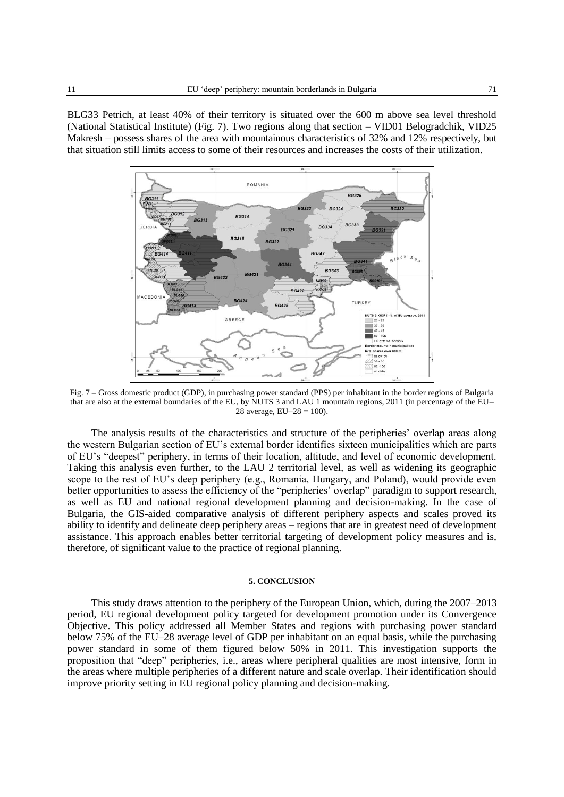BLG33 Petrich, at least 40% of their territory is situated over the 600 m above sea level threshold (National Statistical Institute) (Fig. 7). Two regions along that section – VID01 Belogradchik, VID25 Makresh – possess shares of the area with mountainous characteristics of 32% and 12% respectively, but that situation still limits access to some of their resources and increases the costs of their utilization.



Fig. 7 – Gross domestic product (GDP), in purchasing power standard (PPS) per inhabitant in the border regions of Bulgaria that are also at the external boundaries of the EU, by NUTS 3 and LAU 1 mountain regions, 2011 (in percentage of the EU– 28 average,  $EU-28 = 100$ .

The analysis results of the characteristics and structure of the peripheries' overlap areas along the western Bulgarian section of EU's external border identifies sixteen municipalities which are parts of EU's "deepest" periphery, in terms of their location, altitude, and level of economic development. Taking this analysis even further, to the LAU 2 territorial level, as well as widening its geographic scope to the rest of EU's deep periphery (e.g., Romania, Hungary, and Poland), would provide even better opportunities to assess the efficiency of the "peripheries' overlap" paradigm to support research, as well as EU and national regional development planning and decision-making. In the case of Bulgaria, the GIS-aided comparative analysis of different periphery aspects and scales proved its ability to identify and delineate deep periphery areas – regions that are in greatest need of development assistance. This approach enables better territorial targeting of development policy measures and is, therefore, of significant value to the practice of regional planning.

#### **5. CONCLUSION**

This study draws attention to the periphery of the European Union, which, during the 2007–2013 period, EU regional development policy targeted for development promotion under its Convergence Objective. This policy addressed all Member States and regions with purchasing power standard below 75% of the EU–28 average level of GDP per inhabitant on an equal basis, while the purchasing power standard in some of them figured below 50% in 2011. This investigation supports the proposition that "deep" peripheries, i.e., areas where peripheral qualities are most intensive, form in the areas where multiple peripheries of a different nature and scale overlap. Their identification should improve priority setting in EU regional policy planning and decision-making.